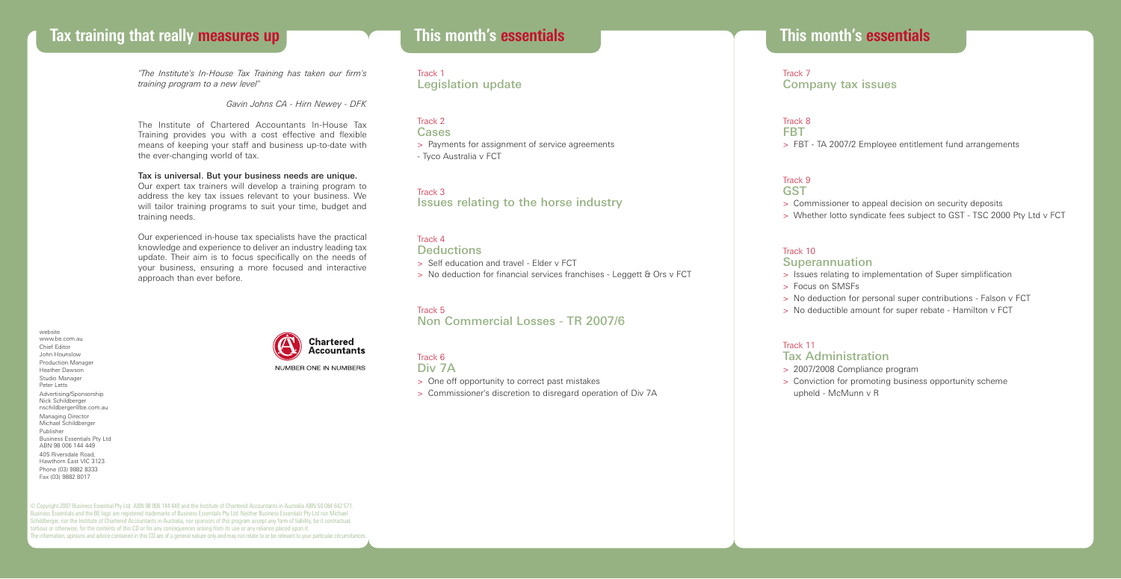# **Tax training that really measures up This month's essentials**

*"The Institute's In-House Tax Training has taken our firm's training program to a new level"*

*Gavin Johns CA - Hirn Newey - DFK*

The Institute of Chartered Accountants In-House Tax Training provides you with a cost effective and flexible means of keeping your staff and business up-to-date with the ever-changing world of tax.

Tax is universal. But your business needs are unique.

Our expert tax trainers will develop a training program to address the key tax issues relevant to your business. We will tailor training programs to suit your time, budget and training needs.

Our experienced in-house tax specialists have the practical knowledge and experience to deliver an industry leading tax update. Their aim is to focus specifically on the needs of your business, ensuring a more focused and interactive approach than ever before.

website www.be.com.au Chief Editor John Hounslow Production Manager Heather Dawson Studio Manager Peter Letts Advertising/Sponsorship Nick Schildberger nschildberger@be.com.au Managing Director Michael Schildberger Publisher Business Essentials Pty Ltd ABN 98 006 144 449 405 Riversdale Road, Hawthorn East VIC 3123 Phone (03) 9882 8333 Fax (03) 9882 8017



# **This month's essentials**

Track 1 Legislation update

Track 2 **Cases** > Payments for assignment of service agreements - Tyco Australia v FCT

Track 3 Issues relating to the horse industry

#### Track 4 **Deductions**

> Self education and travel - Elder v FCT

> No deduction for financial services franchises - Leggett & Ors v FCT

## Track 5

Non Commercial Losses - TR 2007/6

#### Track 6

Div 7A

- > One off opportunity to correct past mistakes
- > Commissioner's discretion to disregard operation of Div 7A

Track 7 Company tax issues

Track 8 **FBT** > FBT - TA 2007/2 Employee entitlement fund arrangements

#### Track 9 **GST**

> Commissioner to appeal decision on security deposits

> Whether lotto syndicate fees subject to GST - TSC 2000 Pty Ltd v FCT

#### Track 10

#### Superannuation

- > Issues relating to implementation of Super simplification
- > Focus on SMSFs
- > No deduction for personal super contributions Falson v FCT
- > No deductible amount for super rebate Hamilton v FCT

#### Track 11

### Tax Administration

- > 2007/2008 Compliance program
- > Conviction for promoting business opportunity scheme upheld - McMunn v R

© Copyright 2007 Business Essential Pty Ltd ABN 98 006 144 449 and the Institute of Chartered Accountants in Australia ABN 50 084 642 571. Business Essentials and the BE logo are registered trademarks of Business Essentials Pty Ltd. Neither Business Essentials Pty Ltd nor Michael Schildberger, nor the Institute of Chartered Accountants in Australia, nor sponsors of this program accept any form of liability, be it contractual, tortious or otherwise, for the contents of this CD or for any consequences arising from its use or any reliance placed upon it. The information, opinions and advice contained in this CD are of a general nature only and may not relate to or be relevant to your particular circumstances.